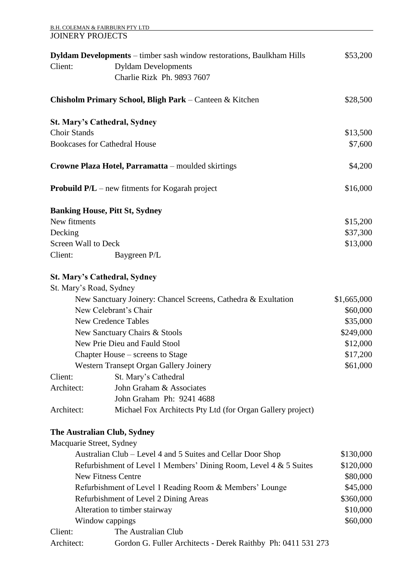| <b>B.H. COLEMAN &amp; FAIRBURN PTY LTD</b> |                                                                              |             |
|--------------------------------------------|------------------------------------------------------------------------------|-------------|
| <b>JOINERY PROJECTS</b>                    |                                                                              |             |
|                                            | <b>Dyldam Developments</b> – timber sash window restorations, Baulkham Hills | \$53,200    |
| Client:                                    | <b>Dyldam Developments</b>                                                   |             |
|                                            | Charlie Rizk Ph. 9893 7607                                                   |             |
|                                            |                                                                              |             |
|                                            | Chisholm Primary School, Bligh Park – Canteen & Kitchen                      | \$28,500    |
|                                            | <b>St. Mary's Cathedral, Sydney</b>                                          |             |
| <b>Choir Stands</b>                        |                                                                              | \$13,500    |
|                                            | <b>Bookcases for Cathedral House</b>                                         | \$7,600     |
|                                            | Crowne Plaza Hotel, Parramatta - moulded skirtings                           | \$4,200     |
|                                            | <b>Probuild <math>P/L</math></b> – new fitments for Kogarah project          | \$16,000    |
|                                            | <b>Banking House, Pitt St, Sydney</b>                                        |             |
| New fitments                               |                                                                              | \$15,200    |
| Decking                                    |                                                                              | \$37,300    |
| <b>Screen Wall to Deck</b>                 |                                                                              | \$13,000    |
| Client:                                    | Baygreen P/L                                                                 |             |
|                                            | <b>St. Mary's Cathedral, Sydney</b>                                          |             |
| St. Mary's Road, Sydney                    |                                                                              |             |
|                                            | New Sanctuary Joinery: Chancel Screens, Cathedra & Exultation                | \$1,665,000 |
|                                            | New Celebrant's Chair                                                        | \$60,000    |
|                                            | <b>New Credence Tables</b>                                                   | \$35,000    |
|                                            | New Sanctuary Chairs & Stools                                                | \$249,000   |
|                                            | New Prie Dieu and Fauld Stool                                                | \$12,000    |
|                                            | Chapter House – screens to Stage                                             | \$17,200    |
|                                            | Western Transept Organ Gallery Joinery                                       | \$61,000    |
| Client:                                    | St. Mary's Cathedral                                                         |             |
| Architect:                                 | John Graham & Associates                                                     |             |
|                                            | John Graham Ph: 9241 4688                                                    |             |
| Architect:                                 | Michael Fox Architects Pty Ltd (for Organ Gallery project)                   |             |
|                                            | The Australian Club, Sydney                                                  |             |
| Macquarie Street, Sydney                   |                                                                              |             |
|                                            | Australian Club – Level 4 and 5 Suites and Cellar Door Shop                  | \$130,000   |
|                                            | Refurbishment of Level 1 Members' Dining Room, Level 4 & 5 Suites            | \$120,000   |
|                                            | <b>New Fitness Centre</b>                                                    | \$80,000    |
|                                            | Refurbishment of Level 1 Reading Room & Members' Lounge                      | \$45,000    |
|                                            | Refurbishment of Level 2 Dining Areas                                        | \$360,000   |
|                                            | Alteration to timber stairway                                                | \$10,000    |
|                                            | Window cappings                                                              | \$60,000    |
| Client:                                    | The Australian Club                                                          |             |
| Architect:                                 | Gordon G. Fuller Architects - Derek Raithby Ph: 0411 531 273                 |             |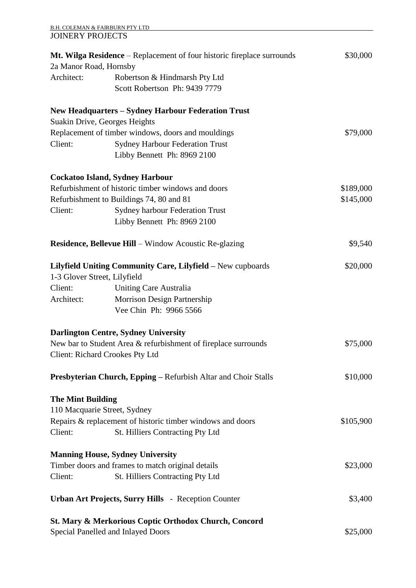| B.H. COLEMAN & FAIRBURN PTY LTD |  |
|---------------------------------|--|
| <b>JOINERY PROJECTS</b>         |  |

|                                        | St. Mary & Merkorious Coptic Orthodox Church, Concord<br>Special Panelled and Inlayed Doors | \$25,000  |
|----------------------------------------|---------------------------------------------------------------------------------------------|-----------|
|                                        | <b>Urban Art Projects, Surry Hills</b> - Reception Counter                                  | \$3,400   |
| Client:                                | St. Hilliers Contracting Pty Ltd                                                            |           |
|                                        | Timber doors and frames to match original details                                           | \$23,000  |
|                                        | <b>Manning House, Sydney University</b>                                                     |           |
| Client:                                | St. Hilliers Contracting Pty Ltd                                                            |           |
|                                        | Repairs & replacement of historic timber windows and doors                                  | \$105,900 |
| 110 Macquarie Street, Sydney           |                                                                                             |           |
| <b>The Mint Building</b>               |                                                                                             |           |
|                                        | Presbyterian Church, Epping - Refurbish Altar and Choir Stalls                              | \$10,000  |
| <b>Client: Richard Crookes Pty Ltd</b> |                                                                                             |           |
|                                        | New bar to Student Area & refurbishment of fireplace surrounds                              | \$75,000  |
|                                        | <b>Darlington Centre, Sydney University</b>                                                 |           |
|                                        | Vee Chin Ph: 9966 5566                                                                      |           |
| Architect:                             | Morrison Design Partnership                                                                 |           |
| Client:                                | <b>Uniting Care Australia</b>                                                               |           |
| 1-3 Glover Street, Lilyfield           |                                                                                             |           |
|                                        | Lilyfield Uniting Community Care, Lilyfield - New cupboards                                 | \$20,000  |
|                                        | <b>Residence, Bellevue Hill - Window Acoustic Re-glazing</b>                                | \$9,540   |
|                                        | Libby Bennett Ph: 8969 2100                                                                 |           |
| Client:                                | <b>Sydney harbour Federation Trust</b>                                                      |           |
|                                        | Refurbishment to Buildings 74, 80 and 81                                                    | \$145,000 |
|                                        | Refurbishment of historic timber windows and doors                                          | \$189,000 |
|                                        | <b>Cockatoo Island, Sydney Harbour</b>                                                      |           |
|                                        | Libby Bennett Ph: 8969 2100                                                                 |           |
| Client:                                | <b>Sydney Harbour Federation Trust</b>                                                      |           |
|                                        | Replacement of timber windows, doors and mouldings                                          | \$79,000  |
| Suakin Drive, Georges Heights          | <b>New Headquarters - Sydney Harbour Federation Trust</b>                                   |           |
|                                        |                                                                                             |           |
|                                        | Robertson & Hindmarsh Pty Ltd<br>Scott Robertson Ph: 9439 7779                              |           |
| 2a Manor Road, Hornsby<br>Architect:   |                                                                                             |           |
|                                        | Mt. Wilga Residence – Replacement of four historic fireplace surrounds                      | \$30,000  |
|                                        |                                                                                             |           |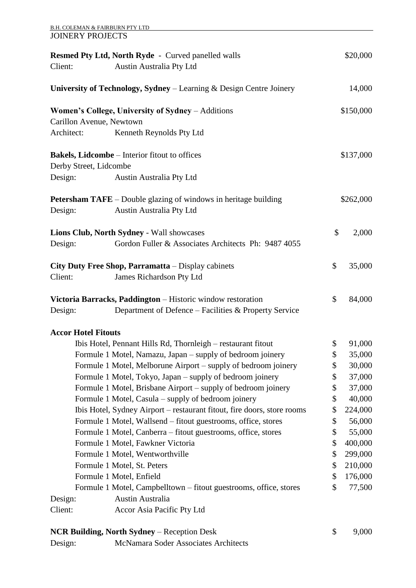| <b>B.H. COLEMAN &amp; FAIRBURN PTY LTD</b><br><b>JOINERY PROJECTS</b> |                                                                         |               |
|-----------------------------------------------------------------------|-------------------------------------------------------------------------|---------------|
|                                                                       | <b>Resmed Pty Ltd, North Ryde - Curved panelled walls</b>               | \$20,000      |
| Client:                                                               | Austin Australia Pty Ltd                                                |               |
|                                                                       | University of Technology, Sydney – Learning & Design Centre Joinery     | 14,000        |
|                                                                       | Women's College, University of Sydney – Additions                       | \$150,000     |
| Carillon Avenue, Newtown                                              |                                                                         |               |
| Architect:                                                            | Kenneth Reynolds Pty Ltd                                                |               |
|                                                                       | <b>Bakels, Lidcombe</b> – Interior fitout to offices                    | \$137,000     |
| Derby Street, Lidcombe                                                |                                                                         |               |
| Design:                                                               | Austin Australia Pty Ltd                                                |               |
|                                                                       | <b>Petersham TAFE</b> – Double glazing of windows in heritage building  | \$262,000     |
| Design:                                                               | Austin Australia Pty Ltd                                                |               |
|                                                                       | Lions Club, North Sydney - Wall showcases                               | \$<br>2,000   |
| Design:                                                               | Gordon Fuller & Associates Architects Ph: 9487 4055                     |               |
|                                                                       | City Duty Free Shop, Parramatta – Display cabinets                      | \$<br>35,000  |
| Client:                                                               | James Richardson Pty Ltd                                                |               |
|                                                                       | Victoria Barracks, Paddington - Historic window restoration             | \$<br>84,000  |
| Design:                                                               | Department of Defence - Facilities & Property Service                   |               |
| <b>Accor Hotel Fitouts</b>                                            |                                                                         |               |
|                                                                       | Ibis Hotel, Pennant Hills Rd, Thornleigh - restaurant fitout            | \$<br>91,000  |
|                                                                       | Formule 1 Motel, Namazu, Japan – supply of bedroom joinery              | \$<br>35,000  |
|                                                                       | Formule 1 Motel, Melborune Airport – supply of bedroom joinery          | \$<br>30,000  |
|                                                                       | Formule 1 Motel, Tokyo, Japan – supply of bedroom joinery               | \$<br>37,000  |
|                                                                       | Formule 1 Motel, Brisbane Airport – supply of bedroom joinery           | \$<br>37,000  |
|                                                                       | Formule 1 Motel, Casula – supply of bedroom joinery                     | \$<br>40,000  |
|                                                                       | Ibis Hotel, Sydney Airport – restaurant fitout, fire doors, store rooms | \$<br>224,000 |
|                                                                       | Formule 1 Motel, Wallsend – fitout guestrooms, office, stores           | \$<br>56,000  |
|                                                                       | Formule 1 Motel, Canberra - fitout guestrooms, office, stores           | \$<br>55,000  |
|                                                                       | Formule 1 Motel, Fawkner Victoria                                       | \$<br>400,000 |
|                                                                       | Formule 1 Motel, Wentworthville                                         | \$<br>299,000 |
|                                                                       | Formule 1 Motel, St. Peters                                             | \$<br>210,000 |
|                                                                       | Formule 1 Motel, Enfield                                                | \$<br>176,000 |
|                                                                       | Formule 1 Motel, Campbelltown – fitout guestrooms, office, stores       | \$<br>77,500  |
| Design:                                                               | Austin Australia                                                        |               |
| Client:                                                               | Accor Asia Pacific Pty Ltd                                              |               |
|                                                                       | <b>NCR Building, North Sydney - Reception Desk</b>                      | \$<br>9,000   |
| Design:                                                               | McNamara Soder Associates Architects                                    |               |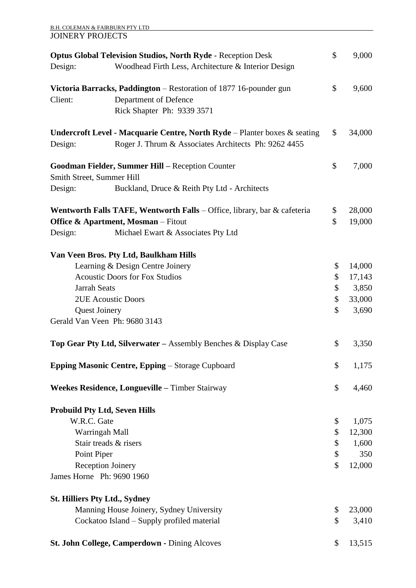|                                      | <b>B.H. COLEMAN &amp; FAIRBURN PTY LTD</b>                                          |              |
|--------------------------------------|-------------------------------------------------------------------------------------|--------------|
| <b>JOINERY PROJECTS</b>              |                                                                                     |              |
|                                      | <b>Optus Global Television Studios, North Ryde - Reception Desk</b>                 | \$<br>9,000  |
| Design:                              | Woodhead Firth Less, Architecture & Interior Design                                 |              |
|                                      | Victoria Barracks, Paddington – Restoration of 1877 16-pounder gun                  | \$<br>9,600  |
| Client:                              | Department of Defence                                                               |              |
|                                      | Rick Shapter Ph: 9339 3571                                                          |              |
|                                      | <b>Undercroft Level - Macquarie Centre, North Ryde</b> – Planter boxes $\&$ seating | \$<br>34,000 |
| Design:                              | Roger J. Thrum & Associates Architects Ph: 9262 4455                                |              |
|                                      | Goodman Fielder, Summer Hill - Reception Counter                                    | \$<br>7,000  |
| Smith Street, Summer Hill            |                                                                                     |              |
| Design:                              | Buckland, Druce & Reith Pty Ltd - Architects                                        |              |
|                                      | Wentworth Falls TAFE, Wentworth Falls - Office, library, bar & cafeteria            | \$<br>28,000 |
|                                      | <b>Office &amp; Apartment, Mosman</b> – Fitout                                      | \$<br>19,000 |
| Design:                              | Michael Ewart & Associates Pty Ltd                                                  |              |
|                                      | Van Veen Bros. Pty Ltd, Baulkham Hills                                              |              |
|                                      | Learning & Design Centre Joinery                                                    | \$<br>14,000 |
|                                      | <b>Acoustic Doors for Fox Studios</b>                                               | \$<br>17,143 |
| <b>Jarrah Seats</b>                  |                                                                                     | \$<br>3,850  |
|                                      | <b>2UE Acoustic Doors</b>                                                           | \$<br>33,000 |
| <b>Quest Joinery</b>                 |                                                                                     | \$<br>3,690  |
|                                      | Gerald Van Veen Ph: 9680 3143                                                       |              |
|                                      | Top Gear Pty Ltd, Silverwater - Assembly Benches & Display Case                     | \$<br>3,350  |
|                                      | <b>Epping Masonic Centre, Epping - Storage Cupboard</b>                             | \$<br>1,175  |
|                                      | Weekes Residence, Longueville – Timber Stairway                                     | \$<br>4,460  |
|                                      | <b>Probuild Pty Ltd, Seven Hills</b>                                                |              |
| W.R.C. Gate                          |                                                                                     | \$<br>1,075  |
|                                      | Warringah Mall                                                                      | \$<br>12,300 |
|                                      | Stair treads & risers                                                               | \$<br>1,600  |
| Point Piper                          |                                                                                     | \$<br>350    |
|                                      | Reception Joinery                                                                   | \$<br>12,000 |
| James Horne Ph: 9690 1960            |                                                                                     |              |
| <b>St. Hilliers Pty Ltd., Sydney</b> |                                                                                     |              |
|                                      | Manning House Joinery, Sydney University                                            | \$<br>23,000 |
|                                      | Cockatoo Island – Supply profiled material                                          | \$<br>3,410  |
|                                      | St. John College, Camperdown - Dining Alcoves                                       | \$<br>13,515 |